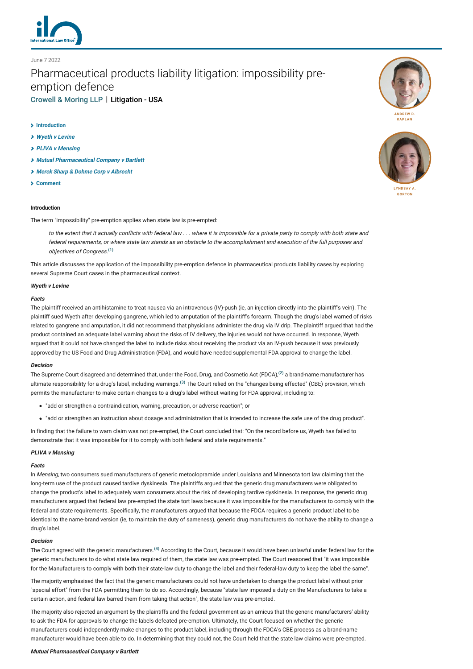

# Pharmaceutical products liability litigation: impossibility preemption defence [Crowell & Moring LLP](http://lexology-legacy.lexology.svc.cluster.local/contributors/19293) | Litigation - USA

## **[Introduction](#page-0-0)**

June 7 2022

- **[Wyeth v Levine](#page-0-1)**
- **[PLIVA v Mensing](#page-0-2)**
- **[Mutual Pharmaceutical Company v Bartlett](#page-0-3)**
- **[Merck Sharp & Dohme Corp v Albrecht](#page-1-0)**
- **[Comment](#page-1-1)**

# <span id="page-0-0"></span>**Introduction**

The term "impossibility" pre-emption applies when state law is pre-empted:

to the extent that it actually conflicts with federal law . . . where it is impossible for a private party to comply with both state and federal requirements, or where state law stands as an obstacle to the accomplishment and execution of the full purposes and objectives of Congress. **[\(1\)](#page-1-2)**

This article discusses the application of the impossibility pre-emption defence in pharmaceutical products liability cases by exploring several Supreme Court cases in the pharmaceutical context.

## <span id="page-0-1"></span>**Wyeth v Levine**

## **Facts**

The plaintiff received an antihistamine to treat nausea via an intravenous (IV)-push (ie, an injection directly into the plaintiff's vein). The plaintiff sued Wyeth after developing gangrene, which led to amputation of the plaintiff's forearm. Though the drug's label warned of risks related to gangrene and amputation, it did not recommend that physicians administer the drug via IV drip. The plaintiff argued that had the product contained an adequate label warning about the risks of IV delivery, the injuries would not have occurred. In response, Wyeth argued that it could not have changed the label to include risks about receiving the product via an IV-push because it was previously approved by the US Food and Drug Administration (FDA), and would have needed supplemental FDA approval to change the label.

#### **Decision**

The Supreme Court disagreed and determined that, under the Food, Drug, and Cosmetic Act (FDCA),**[\(2\)](#page-1-3)** a brand-name manufacturer has ultimate responsibility for a drug's label, including warnings.**[\(3\)](#page-1-4)** The Court relied on the "changes being effected" (CBE) provision, which permits the manufacturer to make certain changes to a drug's label without waiting for FDA approval, including to:

- "add or strengthen a contraindication, warning, precaution, or adverse reaction"; or
- "add or strengthen an instruction about dosage and administration that is intended to increase the safe use of the drug product".

In finding that the failure to warn claim was not pre-empted, the Court concluded that: "On the record before us, Wyeth has failed to demonstrate that it was impossible for it to comply with both federal and state requirements."

# <span id="page-0-2"></span>**PLIVA v Mensing**

## **Facts**

In Mensing, two consumers sued manufacturers of generic metoclopramide under Louisiana and Minnesota tort law claiming that the long-term use of the product caused tardive dyskinesia. The plaintiffs argued that the generic drug manufacturers were obligated to change the product's label to adequately warn consumers about the risk of developing tardive dyskinesia. In response, the generic drug manufacturers argued that federal law pre-empted the state tort laws because it was impossible for the manufacturers to comply with the federal and state requirements. Specifically, the manufacturers argued that because the FDCA requires a generic product label to be identical to the name-brand version (ie, to maintain the duty of sameness), generic drug manufacturers do not have the ability to change a drug's label.

#### **Decision**

The Court agreed with the generic manufacturers.**[\(4\)](#page-1-5)** According to the Court, because it would have been unlawful under federal law for the generic manufacturers to do what state law required of them, the state law was pre-empted. The Court reasoned that "it was impossible for the Manufacturers to comply with both their state-law duty to change the label and their federal-law duty to keep the label the same".

The majority emphasised the fact that the generic manufacturers could not have undertaken to change the product label without prior "special effort" from the FDA permitting them to do so. Accordingly, because "state law imposed a duty on the Manufacturers to take a certain action, and federal law barred them from taking that action", the state law was pre-empted.

The majority also rejected an argument by the plaintiffs and the federal government as an amicus that the generic manufacturers' ability to ask the FDA for approvals to change the labels defeated pre-emption. Ultimately, the Court focused on whether the generic manufacturers could independently make changes to the product label, including through the FDCA's CBE process as a brand-name manufacturer would have been able to do. In determining that they could not, the Court held that the state law claims were pre-empted.

## <span id="page-0-3"></span>**Mutual Pharmaceutical Company v Bartlett**





**[LYNDSAY A.](http://lexology-legacy.lexology.svc.cluster.local/19293/author/Lyndsay_A_Gorton/) GORTON**